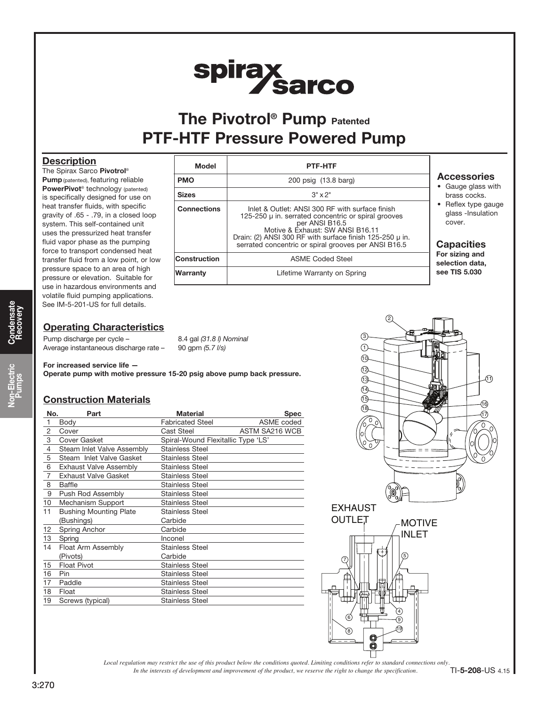# spirax<br>Sarco

# The Pivotrol<sup>®</sup> Pump Patented PTF-HTF Pressure Powered Pump

### **Description**

The Spirax Sarco Pivotrol® Pump (patented), featuring reliable PowerPivot<sup>®</sup> technology (patented) is specifically designed for use on heat transfer fluids, with specific gravity of .65 - .79, in a closed loop system. This self-contained unit uses the pressurized heat transfer fluid vapor phase as the pumping force to transport condensed heat transfer fluid from a low point, or low pressure space to an area of high pressure or elevation. Suitable for use in hazardous environments and volatile fluid pumping applications. See IM-5-201-US for full details.

### **Operating Characteristics**

Pump discharge per cycle – 8.4 gal (31.8 l) Nominal Average instantaneous discharge rate - 90 gpm (5.7 l/s)

For increased service life —

Operate pump with motive pressure 15-20 psig above pump back pressure.

## Construction Materials

| No.            | Part                          | <b>Material</b>                    | <b>Spec</b>    |  |  |
|----------------|-------------------------------|------------------------------------|----------------|--|--|
| 1              | Body                          | <b>Fabricated Steel</b>            | ASME coded     |  |  |
| $\overline{2}$ | Cover                         | <b>Cast Steel</b>                  | ASTM SA216 WCB |  |  |
| 3              | Cover Gasket                  | Spiral-Wound Flexitallic Type 'LS' |                |  |  |
| 4              | Steam Inlet Valve Assembly    | <b>Stainless Steel</b>             |                |  |  |
| 5              | Steam Inlet Valve Gasket      | <b>Stainless Steel</b>             |                |  |  |
| 6              | <b>Exhaust Valve Assembly</b> | <b>Stainless Steel</b>             |                |  |  |
| $\overline{7}$ | <b>Exhaust Valve Gasket</b>   | <b>Stainless Steel</b>             |                |  |  |
| 8              | Baffle                        | <b>Stainless Steel</b>             |                |  |  |
| 9              | Push Rod Assembly             | <b>Stainless Steel</b>             |                |  |  |
| 10             | Mechanism Support             | <b>Stainless Steel</b>             |                |  |  |
| 11             | <b>Bushing Mounting Plate</b> | <b>Stainless Steel</b>             |                |  |  |
|                | (Bushings)                    | Carbide                            |                |  |  |
| 12             | Spring Anchor                 | Carbide                            |                |  |  |
| 13             | Spring                        | Inconel                            |                |  |  |
| 14             | Float Arm Assembly            | <b>Stainless Steel</b>             |                |  |  |
|                | (Pivots)                      | Carbide                            |                |  |  |
| 15             | <b>Float Pivot</b>            | <b>Stainless Steel</b>             |                |  |  |
| 16             | Pin                           | <b>Stainless Steel</b>             |                |  |  |
| 17             | Paddle                        | <b>Stainless Steel</b>             |                |  |  |
| 18             | Float                         | <b>Stainless Steel</b>             |                |  |  |
| 19             | Screws (typical)              | <b>Stainless Steel</b>             |                |  |  |
|                |                               |                                    |                |  |  |

| <b>Model</b>       | PTF-HTF                                                                                                                                                                                                                                                                              |           |  |  |
|--------------------|--------------------------------------------------------------------------------------------------------------------------------------------------------------------------------------------------------------------------------------------------------------------------------------|-----------|--|--|
| <b>PMO</b>         | 200 psig (13.8 barg)                                                                                                                                                                                                                                                                 |           |  |  |
| <b>Sizes</b>       | $3" \times 2"$                                                                                                                                                                                                                                                                       |           |  |  |
| <b>Connections</b> | Inlet & Outlet: ANSI 300 RF with surface finish<br>125-250 µ in. serrated concentric or spiral grooves<br>per ANSI B16.5<br>Motive & Exhaust: SW ANSI B16.11<br>Drain: (2) ANSI 300 RF with surface finish 125-250 $\mu$ in.<br>serrated concentric or spiral grooves per ANSI B16.5 | Cε<br>For |  |  |
| Construction       | <b>ASME Coded Steel</b>                                                                                                                                                                                                                                                              |           |  |  |
| Warranty           | Lifetime Warranty on Spring                                                                                                                                                                                                                                                          |           |  |  |

### **ccessories**

- Gauge glass with brass cocks.
- Reflex type gauge glass -Insulation cover.

### apacities

sizing and ection data, **TIS 5.030** 



*In the interests of development and improvement of the product, we reserve the right to change the specification. Local regulation may restrict the use of this product below the conditions quoted. Limiting conditions refer to standard connections only.*

8

19